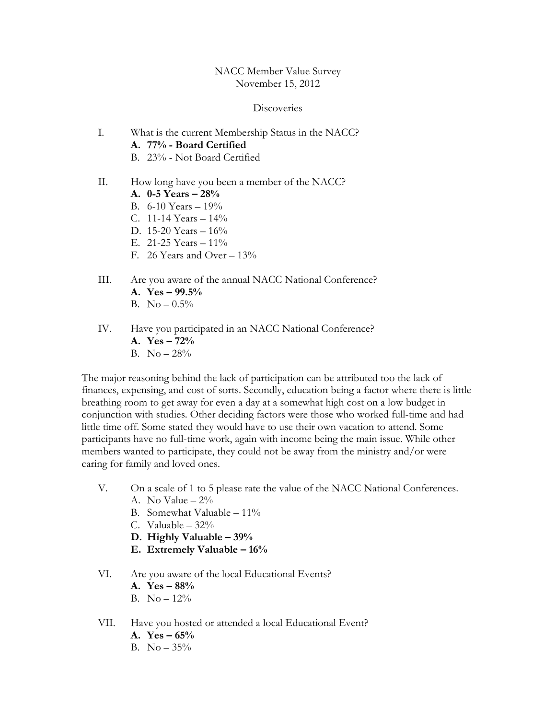### NACC Member Value Survey November 15, 2012

#### **Discoveries**

- I. What is the current Membership Status in the NACC? A. 77% - Board Certified B. 23% - Not Board Certified
- II. How long have you been a member of the NACC?
	- A. 0-5 Years 28%
	- B.  $6-10$  Years  $-19\%$
	- C. 11-14 Years  $-14\%$
	- D. 15-20 Years 16%
	- E. 21-25 Years 11%
	- F. 26 Years and Over 13%
- III. Are you aware of the annual NACC National Conference? A. Yes  $-99.5%$ 
	- B.  $No 0.5\%$
- IV. Have you participated in an NACC National Conference?
	- A.  $Yes 72%$
	- B. No  $-28\%$

The major reasoning behind the lack of participation can be attributed too the lack of finances, expensing, and cost of sorts. Secondly, education being a factor where there is little breathing room to get away for even a day at a somewhat high cost on a low budget in conjunction with studies. Other deciding factors were those who worked full-time and had little time off. Some stated they would have to use their own vacation to attend. Some participants have no full-time work, again with income being the main issue. While other members wanted to participate, they could not be away from the ministry and/or were caring for family and loved ones.

- V. On a scale of 1 to 5 please rate the value of the NACC National Conferences. A. No Value  $-2\%$ 
	- B. Somewhat Valuable  $-11\%$
	- C. Valuable 32%
	- D. Highly Valuable 39%
	- E. Extremely Valuable 16%

### VI. Are you aware of the local Educational Events?

- A. Yes  $-88%$
- B.  $No 12\%$
- VII. Have you hosted or attended a local Educational Event?
	- A.  $Yes 65%$
	- B.  $No 35\%$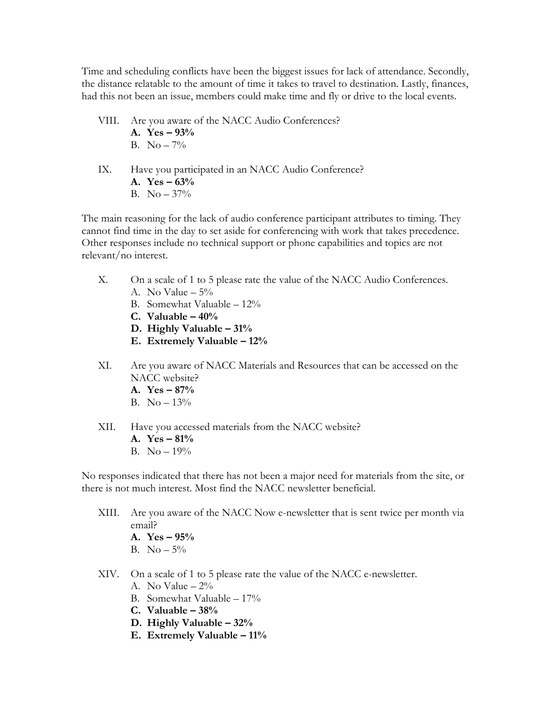Time and scheduling conflicts have been the biggest issues for lack of attendance. Secondly, the distance relatable to the amount of time it takes to travel to destination. Lastly, finances, had this not been an issue, members could make time and fly or drive to the local events.

- VIII. Are you aware of the NACC Audio Conferences?
	- A. Yes 93% B.  $No - 7\%$
- IX. Have you participated in an NACC Audio Conference? A.  $Yes - 63%$ B. No  $-37\%$

The main reasoning for the lack of audio conference participant attributes to timing. They cannot find time in the day to set aside for conferencing with work that takes precedence. Other responses include no technical support or phone capabilities and topics are not relevant/no interest.

- X. On a scale of 1 to 5 please rate the value of the NACC Audio Conferences. A. No Value  $-5\%$ 
	- B. Somewhat Valuable 12%
	- C. Valuable  $-40%$
	- D. Highly Valuable 31%
	- E. Extremely Valuable 12%
- XI. Are you aware of NACC Materials and Resources that can be accessed on the NACC website?
	- A. Yes 87%
	- B. No  $-13\%$
- XII. Have you accessed materials from the NACC website?
	- A. Yes 81%
	- B. No  $-19%$

No responses indicated that there has not been a major need for materials from the site, or there is not much interest. Most find the NACC newsletter beneficial.

- XIII. Are you aware of the NACC Now e-newsletter that is sent twice per month via email?
	- A. Yes 95%
	- B.  $No 5\%$
- XIV. On a scale of 1 to 5 please rate the value of the NACC e-newsletter.
	- A. No Value  $-2\%$
	- B. Somewhat Valuable 17%
	- C. Valuable  $-38%$
	- D. Highly Valuable 32%
	- E. Extremely Valuable 11%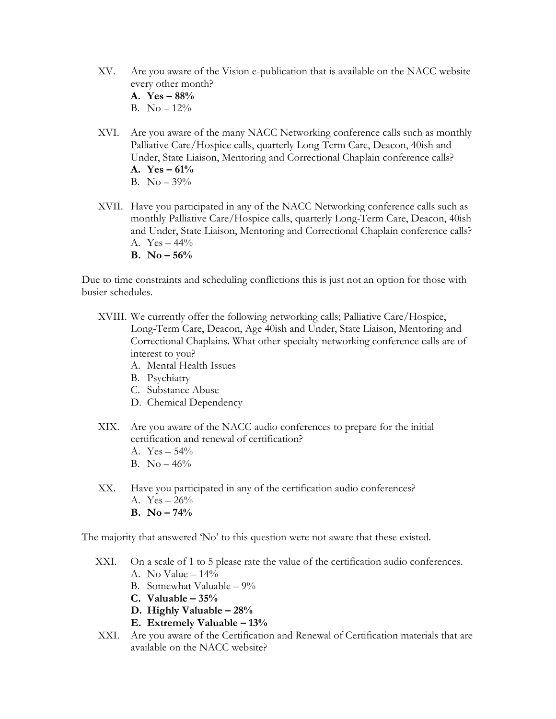- XV. Are you aware of the Vision e-publication that is available on the NACC website every other month?
	- A. Yes 88%
	- B. No  $-12\%$
- XVI. Are you aware of the many NACC Networking conference calls such as monthly Palliative Care/Hospice calls, quarterly Long-Term Care, Deacon, 40ish and Under, State Liaison, Mentoring and Correctional Chaplain conference calls? A.  $Yes - 61%$ B. No – 39%
- XVII. Have you participated in any of the NACC Networking conference calls such as monthly Palliative Care/Hospice calls, quarterly Long-Term Care, Deacon, 40ish and Under, State Liaison, Mentoring and Correctional Chaplain conference calls? A.  $Yes - 44\%$ 
	- B. No  $56%$

Due to time constraints and scheduling conflictions this is just not an option for those with busier schedules.

- XVIII. We currently offer the following networking calls; Palliative Care/Hospice, Long-Term Care, Deacon, Age 40ish and Under, State Liaison, Mentoring and Correctional Chaplains. What other specialty networking conference calls are of interest to you?
	- A. Mental Health Issues
	- B. Psychiatry
	- C. Substance Abuse
	- D. Chemical Dependency
- XIX. Are you aware of the NACC audio conferences to prepare for the initial certification and renewal of certification?
	- A.  $Yes 54\%$
	- B. No  $-46%$
- XX. Have you participated in any of the certification audio conferences?
	- A.  $Yes 26\%$
	- **B.** No  $74\%$

The majority that answered 'No' to this question were not aware that these existed.

- XXI. On a scale of 1 to 5 please rate the value of the certification audio conferences.
	- A. No Value  $-14\%$
	- B. Somewhat Valuable 9%
	- C. Valuable  $-35%$
	- D. Highly Valuable 28%
	- E. Extremely Valuable 13%
- XXI. Are you aware of the Certification and Renewal of Certification materials that are available on the NACC website?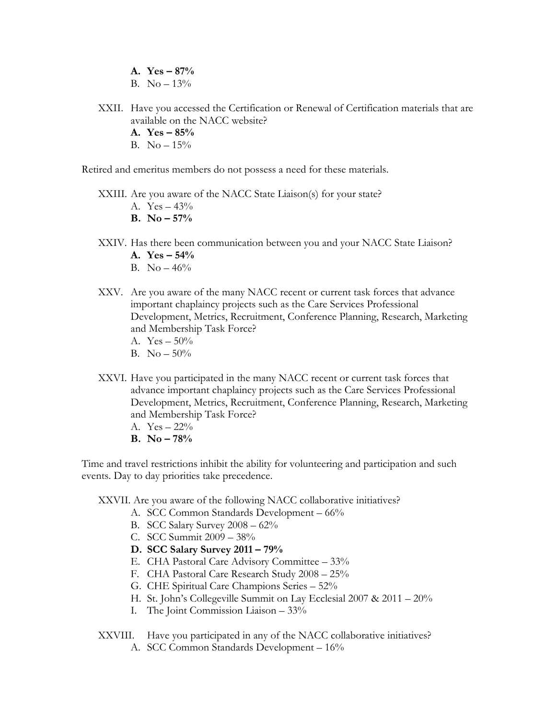- A.  $Yes 87%$
- B. No  $-13\%$
- XXII. Have you accessed the Certification or Renewal of Certification materials that are available on the NACC website?
	- A. Yes  $-85%$
	- B. No  $-15%$

Retired and emeritus members do not possess a need for these materials.

- XXIII. Are you aware of the NACC State Liaison(s) for your state?
	- A.  $Yes 43\%$
	- **B.** No  $-57\%$
- XXIV. Has there been communication between you and your NACC State Liaison?
	- A.  $Yes 54%$
	- B. No  $-46%$
- XXV. Are you aware of the many NACC recent or current task forces that advance important chaplaincy projects such as the Care Services Professional Development, Metrics, Recruitment, Conference Planning, Research, Marketing and Membership Task Force?
	- A.  $Yes 50\%$
	- B. No  $-50\%$
- XXVI. Have you participated in the many NACC recent or current task forces that advance important chaplaincy projects such as the Care Services Professional Development, Metrics, Recruitment, Conference Planning, Research, Marketing and Membership Task Force?
	- A. Yes 22%
	- B. No  $-78%$

Time and travel restrictions inhibit the ability for volunteering and participation and such events. Day to day priorities take precedence.

XXVII. Are you aware of the following NACC collaborative initiatives?

- A. SCC Common Standards Development 66%
- B. SCC Salary Survey 2008 62%
- C. SCC Summit 2009 38%
- D. SCC Salary Survey 2011 79%
- E. CHA Pastoral Care Advisory Committee 33%
- F. CHA Pastoral Care Research Study 2008 25%
- G. CHE Spiritual Care Champions Series 52%
- H. St. John's Collegeville Summit on Lay Ecclesial 2007 & 2011 20%
- I. The Joint Commission Liaison 33%
- XXVIII. Have you participated in any of the NACC collaborative initiatives?
	- A. SCC Common Standards Development 16%